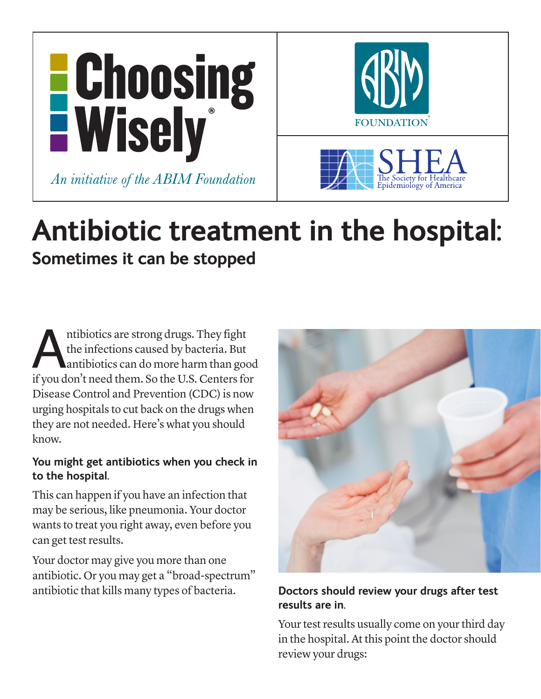

# **Antibiotic treatment in the hospital: Sometimes it can be stopped**

Antibiotics are strong drugs. They fight<br>the infections caused by bacteria. But<br>antibiotics can do more harm than good<br>if you don't need them. So the U.S. Centers for the infections caused by bacteria. But antibiotics can do more harm than good Disease Control and Prevention (CDC) is now urging hospitals to cut back on the drugs when they are not needed. Here's what you should know.

## **You might get antibiotics when you check in to the hospital.**

This can happen if you have an infection that may be serious, like pneumonia. Your doctor wants to treat you right away, even before you can get test results.

Your doctor may give you more than one antibiotic. Or you may get a "broad-spectrum" antibiotic that kills many types of bacteria. **Doctors should review your drugs after test** 



# **results are in.**

Your test results usually come on your third day in the hospital. At this point the doctor should review your drugs: